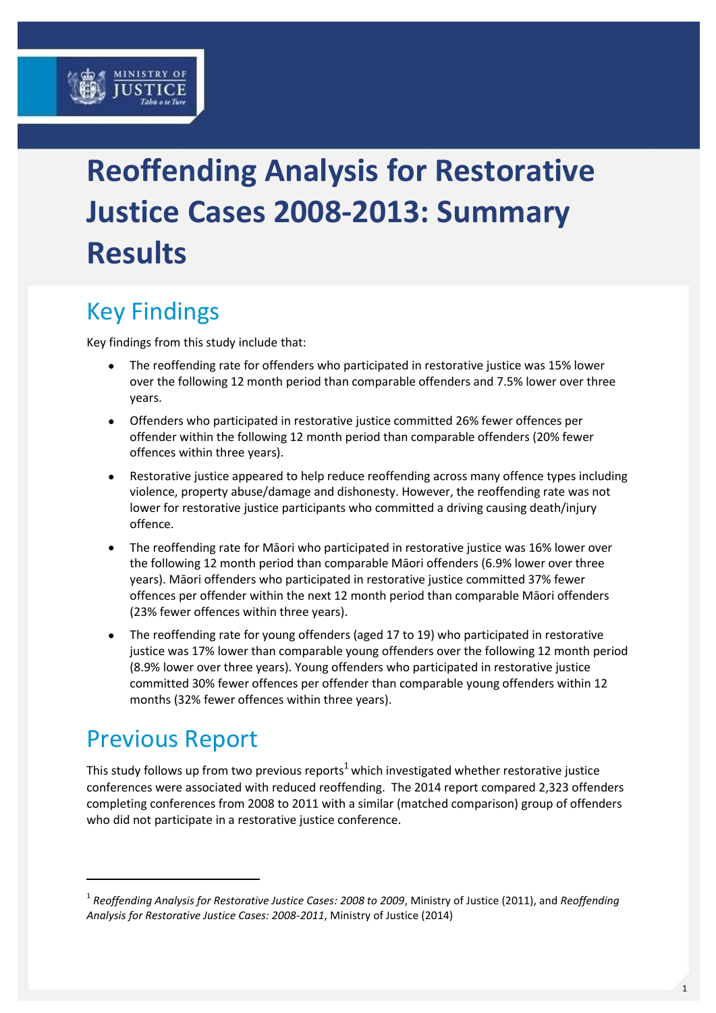# **Reoffending Analysis for Restorative Justice Cases 2008-2013: Summary Results**

# Key Findings

Key findings from this study include that:

- The reoffending rate for offenders who participated in restorative justice was 15% lower over the following 12 month period than comparable offenders and 7.5% lower over three years.
- Offenders who participated in restorative justice committed 26% fewer offences per offender within the following 12 month period than comparable offenders (20% fewer offences within three years).
- Restorative justice appeared to help reduce reoffending across many offence types including violence, property abuse/damage and dishonesty. However, the reoffending rate was not lower for restorative justice participants who committed a driving causing death/injury offence.
- The reoffending rate for Māori who participated in restorative justice was 16% lower over the following 12 month period than comparable Māori offenders (6.9% lower over three years). Māori offenders who participated in restorative justice committed 37% fewer offences per offender within the next 12 month period than comparable Māori offenders (23% fewer offences within three years).
- The reoffending rate for young offenders (aged 17 to 19) who participated in restorative justice was 17% lower than comparable young offenders over the following 12 month period (8.9% lower over three years). Young offenders who participated in restorative justice committed 30% fewer offences per offender than comparable young offenders within 12 months (32% fewer offences within three years).

## Previous Report

-

This study follows up from two previous reports<sup>1</sup> which investigated whether restorative justice conferences were associated with reduced reoffending. The 2014 report compared 2,323 offenders completing conferences from 2008 to 2011 with a similar (matched comparison) group of offenders who did not participate in a restorative justice conference.

<sup>1</sup> *Reoffending Analysis for Restorative Justice Cases: 2008 to 2009*, Ministry of Justice (2011), and *Reoffending Analysis for Restorative Justice Cases: 2008-2011*, Ministry of Justice (2014)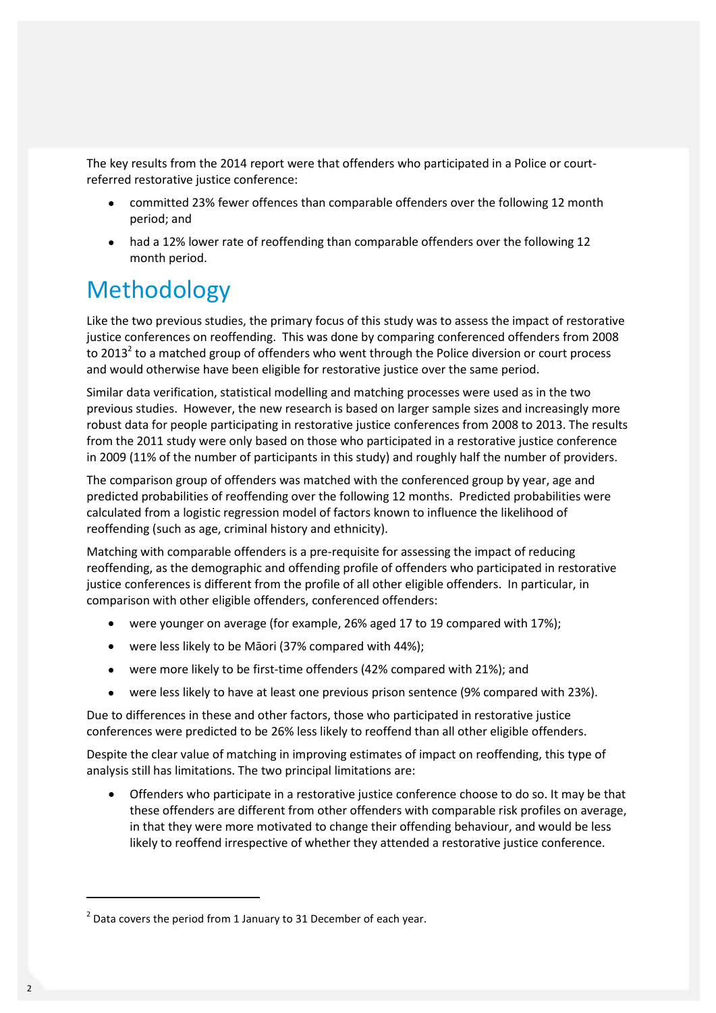The key results from the 2014 report were that offenders who participated in a Police or courtreferred restorative justice conference:

- committed 23% fewer offences than comparable offenders over the following 12 month period; and
- had a 12% lower rate of reoffending than comparable offenders over the following 12 month period.

### Methodology

Like the two previous studies, the primary focus of this study was to assess the impact of restorative justice conferences on reoffending. This was done by comparing conferenced offenders from 2008 to 2013<sup>2</sup> to a matched group of offenders who went through the Police diversion or court process and would otherwise have been eligible for restorative justice over the same period.

Similar data verification, statistical modelling and matching processes were used as in the two previous studies. However, the new research is based on larger sample sizes and increasingly more robust data for people participating in restorative justice conferences from 2008 to 2013. The results from the 2011 study were only based on those who participated in a restorative justice conference in 2009 (11% of the number of participants in this study) and roughly half the number of providers.

The comparison group of offenders was matched with the conferenced group by year, age and predicted probabilities of reoffending over the following 12 months. Predicted probabilities were calculated from a logistic regression model of factors known to influence the likelihood of reoffending (such as age, criminal history and ethnicity).

Matching with comparable offenders is a pre-requisite for assessing the impact of reducing reoffending, as the demographic and offending profile of offenders who participated in restorative justice conferences is different from the profile of all other eligible offenders. In particular, in comparison with other eligible offenders, conferenced offenders:

- were younger on average (for example, 26% aged 17 to 19 compared with 17%);
- were less likely to be Māori (37% compared with 44%);
- were more likely to be first-time offenders (42% compared with 21%); and
- were less likely to have at least one previous prison sentence (9% compared with 23%).

Due to differences in these and other factors, those who participated in restorative justice conferences were predicted to be 26% less likely to reoffend than all other eligible offenders.

Despite the clear value of matching in improving estimates of impact on reoffending, this type of analysis still has limitations. The two principal limitations are:

 Offenders who participate in a restorative justice conference choose to do so. It may be that these offenders are different from other offenders with comparable risk profiles on average, in that they were more motivated to change their offending behaviour, and would be less likely to reoffend irrespective of whether they attended a restorative justice conference.

-

 $2$  Data covers the period from 1 January to 31 December of each year.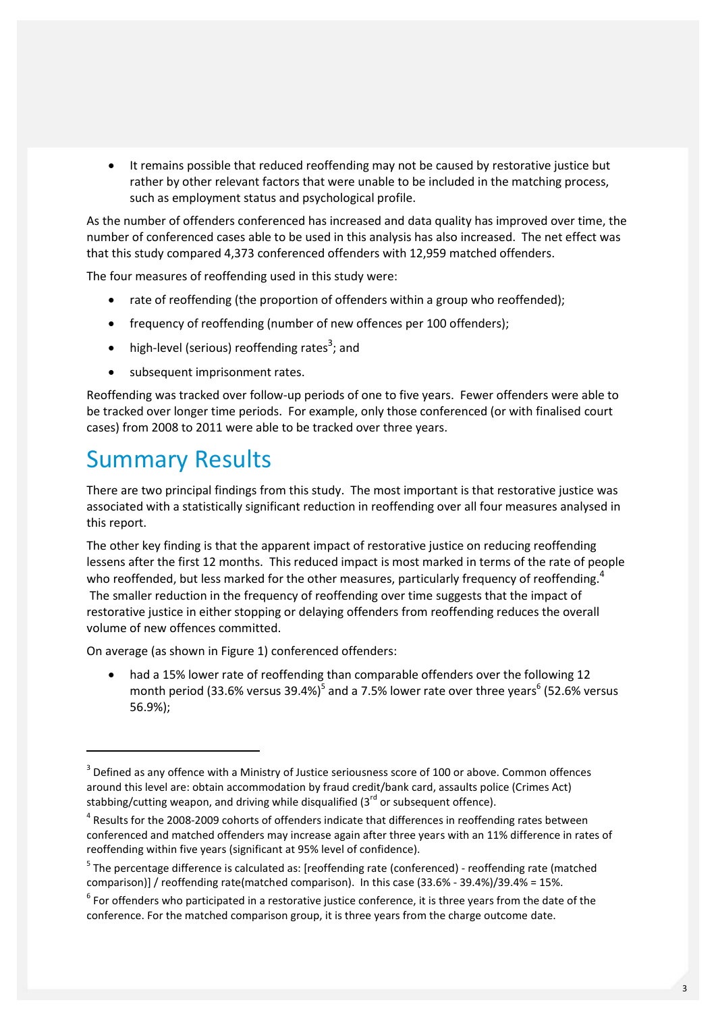It remains possible that reduced reoffending may not be caused by restorative justice but rather by other relevant factors that were unable to be included in the matching process, such as employment status and psychological profile.

As the number of offenders conferenced has increased and data quality has improved over time, the number of conferenced cases able to be used in this analysis has also increased. The net effect was that this study compared 4,373 conferenced offenders with 12,959 matched offenders.

The four measures of reoffending used in this study were:

- rate of reoffending (the proportion of offenders within a group who reoffended);
- frequency of reoffending (number of new offences per 100 offenders);
- $\bullet$  high-level (serious) reoffending rates<sup>3</sup>; and
- subsequent imprisonment rates.

Reoffending was tracked over follow-up periods of one to five years. Fewer offenders were able to be tracked over longer time periods. For example, only those conferenced (or with finalised court cases) from 2008 to 2011 were able to be tracked over three years.

### Summary Results

-

There are two principal findings from this study. The most important is that restorative justice was associated with a statistically significant reduction in reoffending over all four measures analysed in this report.

The other key finding is that the apparent impact of restorative justice on reducing reoffending lessens after the first 12 months. This reduced impact is most marked in terms of the rate of people who reoffended, but less marked for the other measures, particularly frequency of reoffending.<sup>4</sup> The smaller reduction in the frequency of reoffending over time suggests that the impact of restorative justice in either stopping or delaying offenders from reoffending reduces the overall volume of new offences committed.

On average (as shown in Figure 1) conferenced offenders:

 had a 15% lower rate of reoffending than comparable offenders over the following 12 month period (33.6% versus 39.4%)<sup>5</sup> and a 7.5% lower rate over three years<sup>6</sup> (52.6% versus 56.9%);

 $3$  Defined as any offence with a Ministry of Justice seriousness score of 100 or above. Common offences around this level are: obtain accommodation by fraud credit/bank card, assaults police (Crimes Act) stabbing/cutting weapon, and driving while disqualified  $(3^{rd}$  or subsequent offence).

 $4$  Results for the 2008-2009 cohorts of offenders indicate that differences in reoffending rates between conferenced and matched offenders may increase again after three years with an 11% difference in rates of reoffending within five years (significant at 95% level of confidence).

<sup>&</sup>lt;sup>5</sup> The percentage difference is calculated as: [reoffending rate (conferenced) - reoffending rate (matched comparison)] / reoffending rate(matched comparison). In this case (33.6% - 39.4%)/39.4% = 15%.

 $<sup>6</sup>$  For offenders who participated in a restorative justice conference, it is three years from the date of the</sup> conference. For the matched comparison group, it is three years from the charge outcome date.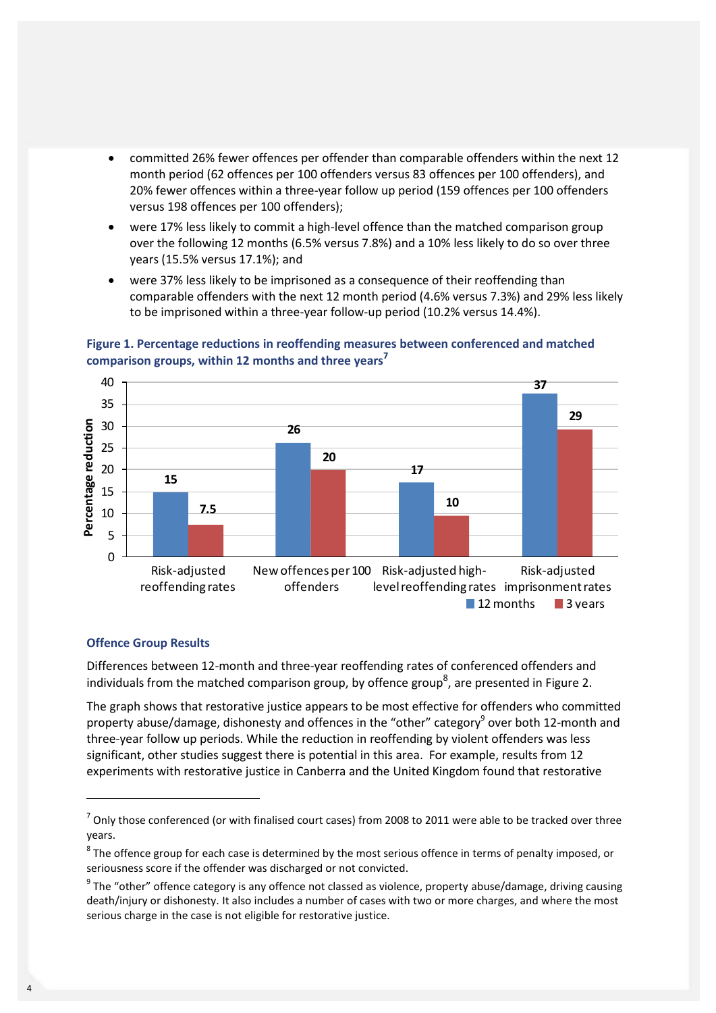- committed 26% fewer offences per offender than comparable offenders within the next 12 month period (62 offences per 100 offenders versus 83 offences per 100 offenders), and 20% fewer offences within a three-year follow up period (159 offences per 100 offenders versus 198 offences per 100 offenders);
- were 17% less likely to commit a high-level offence than the matched comparison group over the following 12 months (6.5% versus 7.8%) and a 10% less likely to do so over three years (15.5% versus 17.1%); and
- were 37% less likely to be imprisoned as a consequence of their reoffending than comparable offenders with the next 12 month period (4.6% versus 7.3%) and 29% less likely to be imprisoned within a three-year follow-up period (10.2% versus 14.4%).



#### **Figure 1. Percentage reductions in reoffending measures between conferenced and matched comparison groups, within 12 months and three years<sup>7</sup>**

#### **Offence Group Results**

-

Differences between 12-month and three-year reoffending rates of conferenced offenders and individuals from the matched comparison group, by offence group<sup>8</sup>, are presented in Figure 2.

The graph shows that restorative justice appears to be most effective for offenders who committed property abuse/damage, dishonesty and offences in the "other" category<sup>9</sup> over both 12-month and three-year follow up periods. While the reduction in reoffending by violent offenders was less significant, other studies suggest there is potential in this area. For example, results from 12 experiments with restorative justice in Canberra and the United Kingdom found that restorative

 $^7$  Only those conferenced (or with finalised court cases) from 2008 to 2011 were able to be tracked over three years.

 $^8$  The offence group for each case is determined by the most serious offence in terms of penalty imposed, or seriousness score if the offender was discharged or not convicted.

 $^9$  The "other" offence category is any offence not classed as violence, property abuse/damage, driving causing death/injury or dishonesty. It also includes a number of cases with two or more charges, and where the most serious charge in the case is not eligible for restorative justice.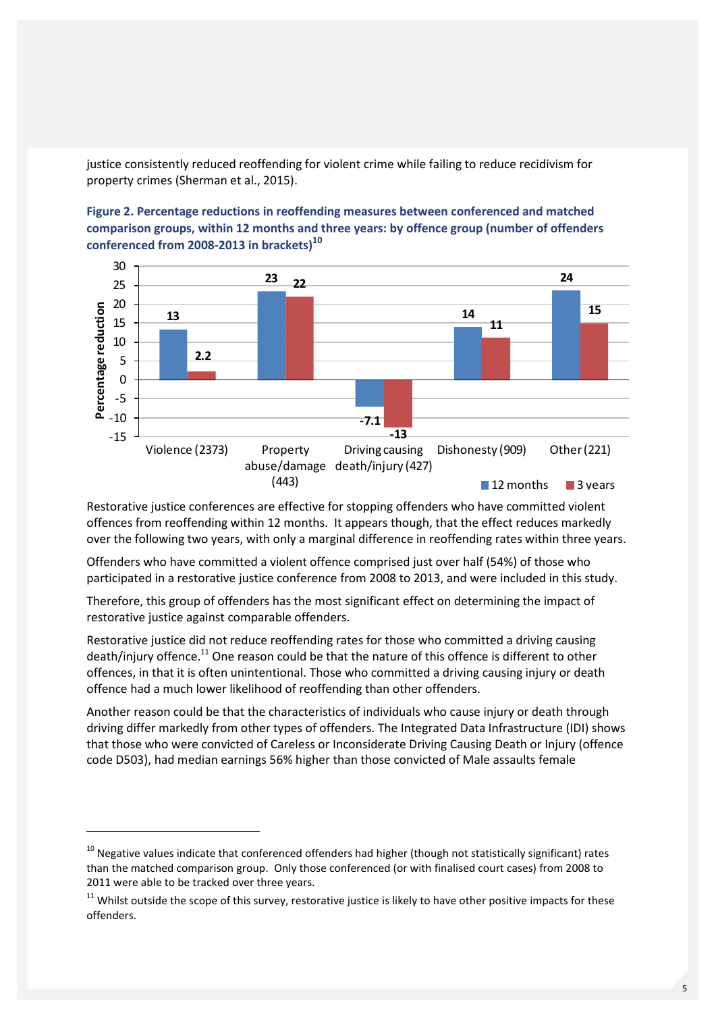justice consistently reduced reoffending for violent crime while failing to reduce recidivism for property crimes (Sherman et al., 2015).

**Figure 2. Percentage reductions in reoffending measures between conferenced and matched comparison groups, within 12 months and three years: by offence group (number of offenders conferenced from 2008-2013 in brackets)<sup>10</sup>**



Restorative justice conferences are effective for stopping offenders who have committed violent offences from reoffending within 12 months. It appears though, that the effect reduces markedly over the following two years, with only a marginal difference in reoffending rates within three years.

Offenders who have committed a violent offence comprised just over half (54%) of those who participated in a restorative justice conference from 2008 to 2013, and were included in this study.

Therefore, this group of offenders has the most significant effect on determining the impact of restorative justice against comparable offenders.

Restorative justice did not reduce reoffending rates for those who committed a driving causing death/injury offence.<sup>11</sup> One reason could be that the nature of this offence is different to other offences, in that it is often unintentional. Those who committed a driving causing injury or death offence had a much lower likelihood of reoffending than other offenders.

Another reason could be that the characteristics of individuals who cause injury or death through driving differ markedly from other types of offenders. The Integrated Data Infrastructure (IDI) shows that those who were convicted of Careless or Inconsiderate Driving Causing Death or Injury (offence code D503), had median earnings 56% higher than those convicted of Male assaults female

-

 $10$  Negative values indicate that conferenced offenders had higher (though not statistically significant) rates than the matched comparison group. Only those conferenced (or with finalised court cases) from 2008 to 2011 were able to be tracked over three years.

 $11$  Whilst outside the scope of this survey, restorative justice is likely to have other positive impacts for these offenders.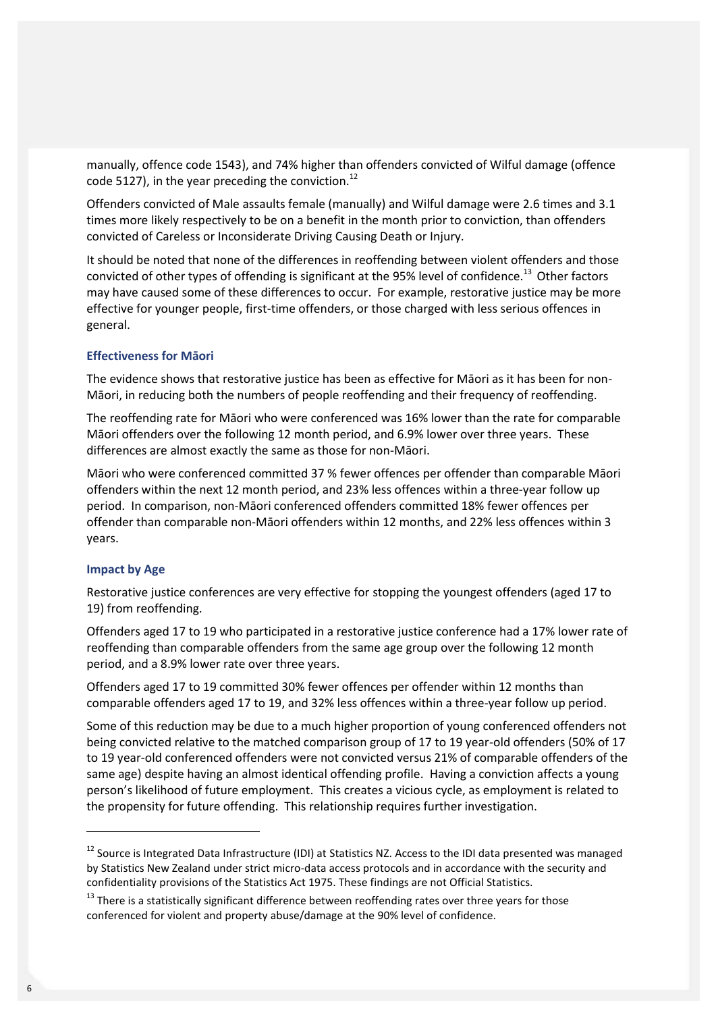manually, offence code 1543), and 74% higher than offenders convicted of Wilful damage (offence code 5127), in the year preceding the conviction.<sup>12</sup>

Offenders convicted of Male assaults female (manually) and Wilful damage were 2.6 times and 3.1 times more likely respectively to be on a benefit in the month prior to conviction, than offenders convicted of Careless or Inconsiderate Driving Causing Death or Injury.

It should be noted that none of the differences in reoffending between violent offenders and those convicted of other types of offending is significant at the 95% level of confidence.<sup>13</sup> Other factors may have caused some of these differences to occur. For example, restorative justice may be more effective for younger people, first-time offenders, or those charged with less serious offences in general.

#### **Effectiveness for Māori**

The evidence shows that restorative justice has been as effective for Māori as it has been for non-Māori, in reducing both the numbers of people reoffending and their frequency of reoffending.

The reoffending rate for Māori who were conferenced was 16% lower than the rate for comparable Māori offenders over the following 12 month period, and 6.9% lower over three years. These differences are almost exactly the same as those for non-Māori.

Māori who were conferenced committed 37 % fewer offences per offender than comparable Māori offenders within the next 12 month period, and 23% less offences within a three-year follow up period. In comparison, non-Māori conferenced offenders committed 18% fewer offences per offender than comparable non-Māori offenders within 12 months, and 22% less offences within 3 years.

#### **Impact by Age**

-

Restorative justice conferences are very effective for stopping the youngest offenders (aged 17 to 19) from reoffending.

Offenders aged 17 to 19 who participated in a restorative justice conference had a 17% lower rate of reoffending than comparable offenders from the same age group over the following 12 month period, and a 8.9% lower rate over three years.

Offenders aged 17 to 19 committed 30% fewer offences per offender within 12 months than comparable offenders aged 17 to 19, and 32% less offences within a three-year follow up period.

Some of this reduction may be due to a much higher proportion of young conferenced offenders not being convicted relative to the matched comparison group of 17 to 19 year-old offenders (50% of 17 to 19 year-old conferenced offenders were not convicted versus 21% of comparable offenders of the same age) despite having an almost identical offending profile. Having a conviction affects a young person's likelihood of future employment. This creates a vicious cycle, as employment is related to the propensity for future offending. This relationship requires further investigation.

<sup>&</sup>lt;sup>12</sup> Source is Integrated Data Infrastructure (IDI) at Statistics NZ. Access to the IDI data presented was managed by Statistics New Zealand under strict micro-data access protocols and in accordance with the security and confidentiality provisions of the Statistics Act 1975. These findings are not Official Statistics.

<sup>&</sup>lt;sup>13</sup> There is a statistically significant difference between reoffending rates over three years for those conferenced for violent and property abuse/damage at the 90% level of confidence.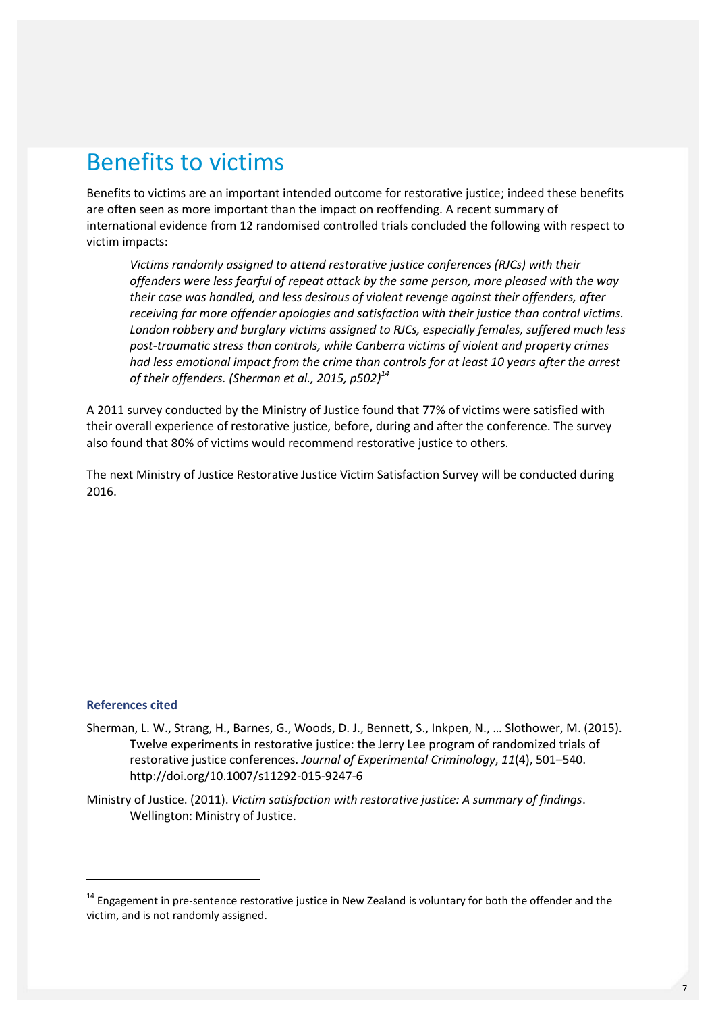### Benefits to victims

Benefits to victims are an important intended outcome for restorative justice; indeed these benefits are often seen as more important than the impact on reoffending. A recent summary of international evidence from 12 randomised controlled trials concluded the following with respect to victim impacts:

*Victims randomly assigned to attend restorative justice conferences (RJCs) with their offenders were less fearful of repeat attack by the same person, more pleased with the way their case was handled, and less desirous of violent revenge against their offenders, after receiving far more offender apologies and satisfaction with their justice than control victims. London robbery and burglary victims assigned to RJCs, especially females, suffered much less post-traumatic stress than controls, while Canberra victims of violent and property crimes had less emotional impact from the crime than controls for at least 10 years after the arrest of their offenders. (Sherman et al., 2015, p502)<sup>14</sup>*

A 2011 survey conducted by the Ministry of Justice found that 77% of victims were satisfied with their overall experience of restorative justice, before, during and after the conference. The survey also found that 80% of victims would recommend restorative justice to others.

The next Ministry of Justice Restorative Justice Victim Satisfaction Survey will be conducted during 2016.

#### **References cited**

-

Sherman, L. W., Strang, H., Barnes, G., Woods, D. J., Bennett, S., Inkpen, N., … Slothower, M. (2015). Twelve experiments in restorative justice: the Jerry Lee program of randomized trials of restorative justice conferences. *Journal of Experimental Criminology*, *11*(4), 501–540. http://doi.org/10.1007/s11292-015-9247-6

Ministry of Justice. (2011). *Victim satisfaction with restorative justice: A summary of findings*. Wellington: Ministry of Justice.

 $14$  Engagement in pre-sentence restorative justice in New Zealand is voluntary for both the offender and the victim, and is not randomly assigned.